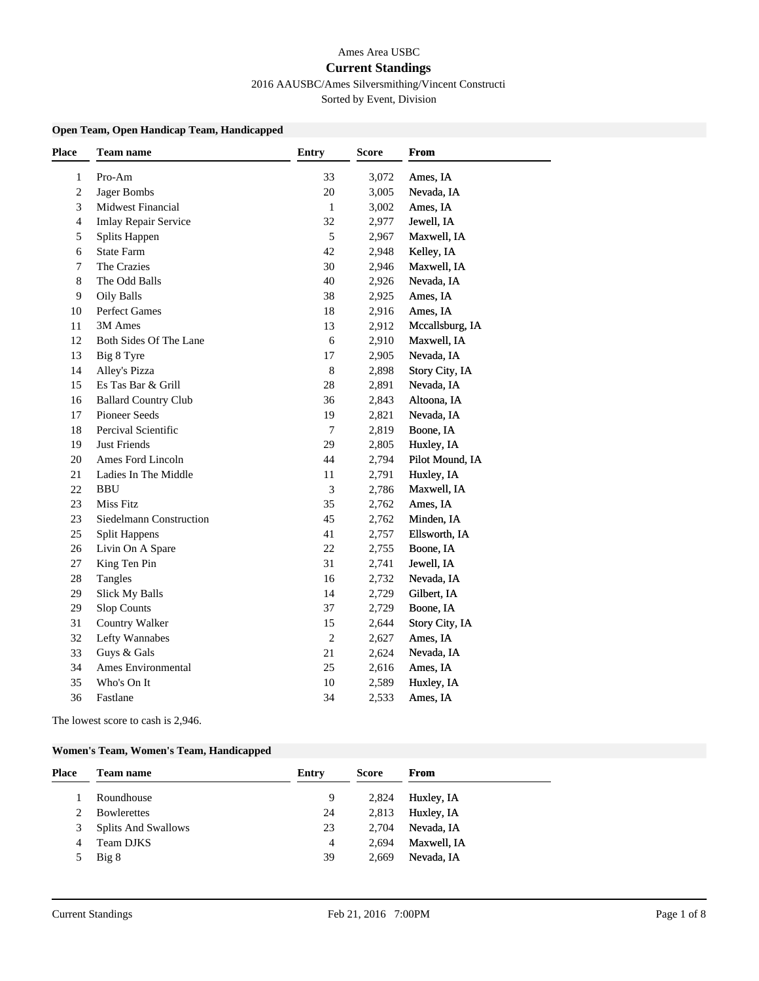## Ames Area USBC **Current Standings**

# 2016 AAUSBC/Ames Silversmithing/Vincent Constructi

Sorted by Event, Division

#### **Open Team, Open Handicap Team, Handicapped**

| <b>Place</b> | <b>Team name</b>              | <b>Entry</b>   | <b>Score</b> | <b>From</b>     |
|--------------|-------------------------------|----------------|--------------|-----------------|
| 1            | Pro-Am                        | 33             | 3,072        | Ames, IA        |
| 2            | Jager Bombs                   | 20             | 3,005        | Nevada, IA      |
| 3            | Midwest Financial             | $\mathbf{1}$   | 3,002        | Ames, IA        |
| 4            | <b>Imlay Repair Service</b>   | 32             | 2,977        | Jewell, IA      |
| 5            | Splits Happen                 | 5              | 2,967        | Maxwell, IA     |
| 6            | <b>State Farm</b>             | 42             | 2,948        | Kelley, IA      |
| 7            | The Crazies                   | 30             | 2,946        | Maxwell, IA     |
| 8            | The Odd Balls                 | 40             | 2,926        | Nevada, IA      |
| 9            | Oily Balls                    | 38             | 2,925        | Ames, IA        |
| 10           | Perfect Games                 | 18             | 2,916        | Ames, IA        |
| 11           | 3M Ames                       | 13             | 2,912        | Mccallsburg, IA |
| 12           | <b>Both Sides Of The Lane</b> | 6              | 2,910        | Maxwell, IA     |
| 13           | Big 8 Tyre                    | 17             | 2,905        | Nevada, IA      |
| 14           | Alley's Pizza                 | $\,8\,$        | 2,898        | Story City, IA  |
| 15           | Es Tas Bar & Grill            | 28             | 2,891        | Nevada, IA      |
| 16           | <b>Ballard Country Club</b>   | 36             | 2,843        | Altoona, IA     |
| 17           | Pioneer Seeds                 | 19             | 2,821        | Nevada, IA      |
| 18           | Percival Scientific           | $\overline{7}$ | 2,819        | Boone, IA       |
| 19           | Just Friends                  | 29             | 2,805        | Huxley, IA      |
| 20           | Ames Ford Lincoln             | 44             | 2,794        | Pilot Mound, IA |
| 21           | Ladies In The Middle          | 11             | 2,791        | Huxley, IA      |
| 22           | <b>BBU</b>                    | 3              | 2,786        | Maxwell, IA     |
| 23           | <b>Miss Fitz</b>              | 35             | 2,762        | Ames, IA        |
| 23           | Siedelmann Construction       | 45             | 2,762        | Minden, IA      |
| 25           | <b>Split Happens</b>          | 41             | 2,757        | Ellsworth, IA   |
| 26           | Livin On A Spare              | 22             | 2,755        | Boone, IA       |
| 27           | King Ten Pin                  | 31             | 2,741        | Jewell, IA      |
| 28           | Tangles                       | 16             | 2,732        | Nevada, IA      |
| 29           | <b>Slick My Balls</b>         | 14             | 2,729        | Gilbert, IA     |
| 29           | Slop Counts                   | 37             | 2,729        | Boone, IA       |
| 31           | Country Walker                | 15             | 2,644        | Story City, IA  |
| 32           | Lefty Wannabes                | $\overline{c}$ | 2,627        | Ames, IA        |
| 33           | Guys & Gals                   | 21             | 2,624        | Nevada, IA      |
| 34           | Ames Environmental            | 25             | 2,616        | Ames, IA        |
| 35           | Who's On It                   | 10             | 2,589        | Huxley, IA      |
| 36           | Fastlane                      | 34             | 2,533        | Ames, IA        |
|              |                               |                |              |                 |

The lowest score to cash is 2,946.

### **Women's Team, Women's Team, Handicapped**

| <b>Place</b> | Team name                  | Entry | <b>Score</b> | <b>From</b> |
|--------------|----------------------------|-------|--------------|-------------|
|              | Roundhouse                 | 9     | 2,824        | Huxley, IA  |
| 2            | <b>Bowlerettes</b>         | 24    | 2,813        | Huxley, IA  |
| 3            | <b>Splits And Swallows</b> | 23    | 2,704        | Nevada, IA  |
| 4            | Team DJKS                  | 4     | 2.694        | Maxwell, IA |
| 5            | Big 8                      | 39    | 2.669        | Nevada, IA  |
|              |                            |       |              |             |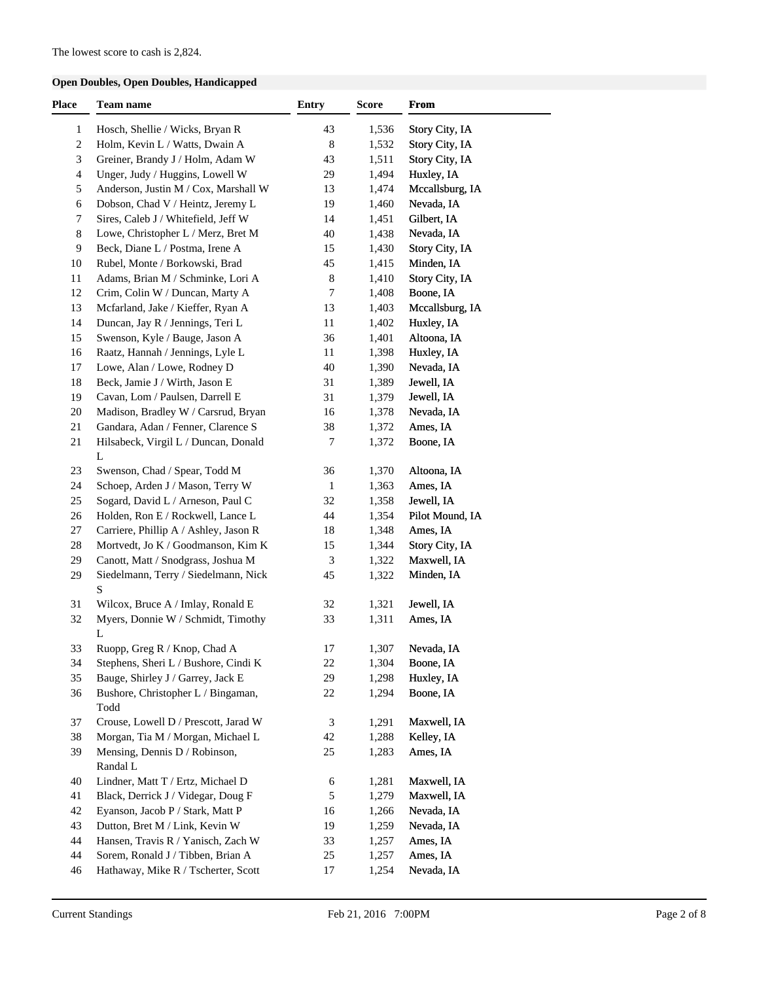## **Open Doubles, Open Doubles, Handicapped**

| Place            | Team name                                                         | <b>Entry</b>   | Score          | <b>From</b>     |
|------------------|-------------------------------------------------------------------|----------------|----------------|-----------------|
| $\mathbf{1}$     | Hosch, Shellie / Wicks, Bryan R                                   | 43             | 1,536          | Story City, IA  |
| $\boldsymbol{2}$ | Holm, Kevin L / Watts, Dwain A                                    | $\,8\,$        | 1,532          | Story City, IA  |
| 3                | Greiner, Brandy J / Holm, Adam W                                  | 43             | 1,511          | Story City, IA  |
| $\overline{4}$   | Unger, Judy / Huggins, Lowell W                                   | 29             | 1,494          | Huxley, IA      |
| 5                | Anderson, Justin M / Cox, Marshall W                              | 13             | 1,474          | Mccallsburg, IA |
| 6                | Dobson, Chad V / Heintz, Jeremy L                                 | 19             | 1,460          | Nevada, IA      |
| 7                | Sires, Caleb J / Whitefield, Jeff W                               | 14             | 1,451          | Gilbert, IA     |
| 8                | Lowe, Christopher L / Merz, Bret M                                | 40             | 1,438          | Nevada, IA      |
| 9                | Beck, Diane L / Postma, Irene A                                   | 15             | 1,430          | Story City, IA  |
| 10               | Rubel, Monte / Borkowski, Brad                                    | 45             | 1,415          | Minden, IA      |
| 11               | Adams, Brian M / Schminke, Lori A                                 | $\,8\,$        | 1,410          | Story City, IA  |
| 12               | Crim, Colin W / Duncan, Marty A                                   | 7              | 1,408          | Boone, IA       |
| 13               | Mcfarland, Jake / Kieffer, Ryan A                                 | 13             | 1,403          | Mccallsburg, IA |
| 14               | Duncan, Jay R / Jennings, Teri L                                  | 11             | 1,402          | Huxley, IA      |
| 15               | Swenson, Kyle / Bauge, Jason A                                    | 36             | 1,401          | Altoona, IA     |
| 16               | Raatz, Hannah / Jennings, Lyle L                                  | 11             | 1,398          | Huxley, IA      |
| 17               | Lowe, Alan / Lowe, Rodney D                                       | 40             | 1,390          | Nevada, IA      |
|                  |                                                                   |                |                |                 |
| 18<br>19         | Beck, Jamie J / Wirth, Jason E<br>Cavan, Lom / Paulsen, Darrell E | 31<br>31       | 1,389<br>1,379 | Jewell, IA      |
|                  |                                                                   |                |                | Jewell, IA      |
| 20               | Madison, Bradley W / Carsrud, Bryan                               | 16             | 1,378          | Nevada, IA      |
| 21               | Gandara, Adan / Fenner, Clarence S                                | 38             | 1,372          | Ames, IA        |
| 21               | Hilsabeck, Virgil L / Duncan, Donald<br>$\mathbf L$               | 7              | 1,372          | Boone, IA       |
| 23               | Swenson, Chad / Spear, Todd M                                     | 36             | 1,370          | Altoona, IA     |
| 24               | Schoep, Arden J / Mason, Terry W                                  | $\mathbf{1}$   | 1,363          | Ames, IA        |
| 25               | Sogard, David L / Arneson, Paul C                                 | 32             | 1,358          | Jewell, IA      |
| 26               | Holden, Ron E / Rockwell, Lance L                                 | 44             | 1,354          | Pilot Mound, IA |
| 27               | Carriere, Phillip A / Ashley, Jason R                             | 18             | 1,348          | Ames, IA        |
| 28               | Mortvedt, Jo K / Goodmanson, Kim K                                | 15             | 1,344          | Story City, IA  |
| 29               | Canott, Matt / Snodgrass, Joshua M                                | 3              | 1,322          | Maxwell, IA     |
| 29               | Siedelmann, Terry / Siedelmann, Nick                              | 45             | 1,322          | Minden, IA      |
|                  | S                                                                 |                |                |                 |
| 31               | Wilcox, Bruce A / Imlay, Ronald E                                 | 32             | 1,321          | Jewell, IA      |
| 32               | Myers, Donnie W / Schmidt, Timothy                                | 33             | 1,311          | Ames, IA        |
|                  | L                                                                 |                |                |                 |
| 33               | Ruopp, Greg R / Knop, Chad A                                      | 17             | 1,307          | Nevada, IA      |
| 34               | Stephens, Sheri L / Bushore, Cindi K                              | $22\,$         | 1,304          | Boone, IA       |
| 35               | Bauge, Shirley J / Garrey, Jack E                                 | 29             | 1,298          | Huxley, IA      |
| 36               | Bushore, Christopher L / Bingaman,                                | 22             | 1,294          | Boone, IA       |
|                  | Todd                                                              |                |                |                 |
| 37               | Crouse, Lowell D / Prescott, Jarad W                              | $\mathfrak{Z}$ | 1,291          | Maxwell, IA     |
| 38               | Morgan, Tia M / Morgan, Michael L                                 | 42             | 1,288          | Kelley, IA      |
| 39               | Mensing, Dennis D / Robinson,                                     | 25             | 1,283          | Ames, IA        |
|                  | Randal L                                                          |                |                |                 |
| 40               | Lindner, Matt T / Ertz, Michael D                                 | 6              | 1,281          | Maxwell, IA     |
| 41               | Black, Derrick J / Videgar, Doug F                                | 5              | 1,279          | Maxwell, IA     |
| 42               | Eyanson, Jacob P / Stark, Matt P                                  | 16             | 1,266          | Nevada, IA      |
| 43               | Dutton, Bret M / Link, Kevin W                                    | 19             | 1,259          | Nevada, IA      |
| 44               | Hansen, Travis R / Yanisch, Zach W                                | 33             | 1,257          | Ames, IA        |
| 44               | Sorem, Ronald J / Tibben, Brian A                                 | 25             |                | Ames, IA        |
|                  |                                                                   |                | 1,257          |                 |
| 46               | Hathaway, Mike R / Tscherter, Scott                               | 17             | 1,254          | Nevada, IA      |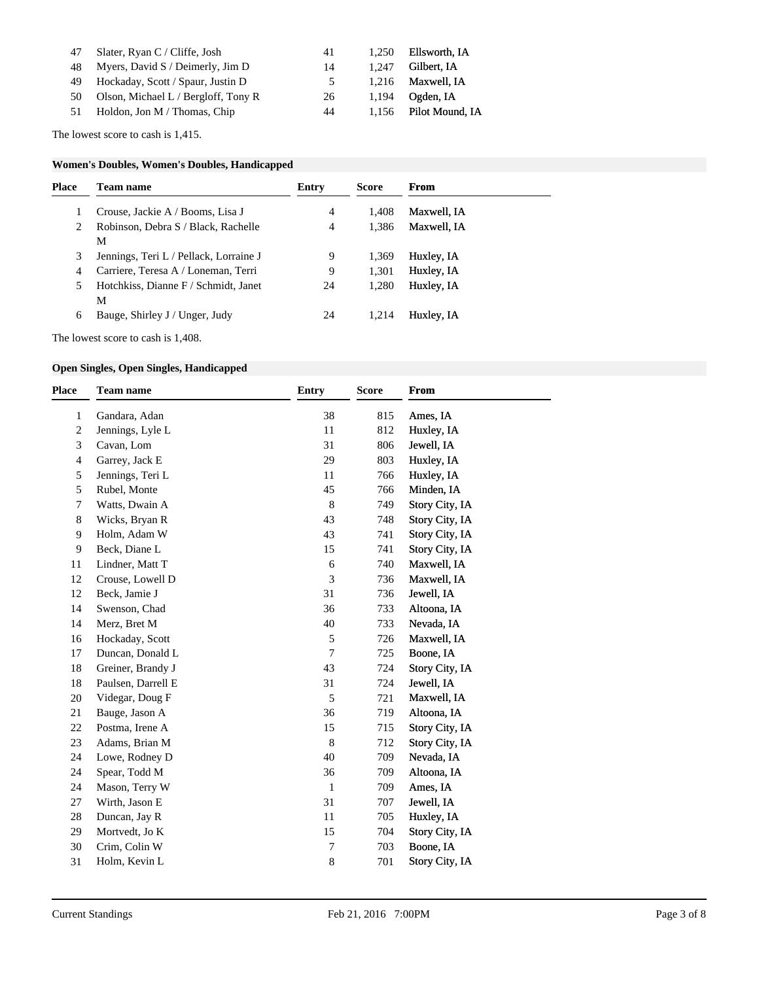| 47 Slater, Ryan C / Cliffe, Josh       | 41             |       | 1,250 Ellsworth, IA   |
|----------------------------------------|----------------|-------|-----------------------|
| 48 Myers, David S / Deimerly, Jim D    | 14             | 1.247 | Gilbert. IA           |
| 49 Hockaday, Scott / Spaur, Justin D   | 5 <sup>5</sup> |       | $1,216$ Maxwell, IA   |
| 50 Olson, Michael L / Bergloff, Tony R | 26             |       | $1,194$ Ogden, IA     |
| 51 Holdon, Jon M / Thomas, Chip        | 44             |       | 1.156 Pilot Mound, IA |

The lowest score to cash is 1,415.

#### **Women's Doubles, Women's Doubles, Handicapped**

| <b>Place</b> | <b>Team name</b>                       | Entry | <b>Score</b> | From        |  |
|--------------|----------------------------------------|-------|--------------|-------------|--|
|              | Crouse, Jackie A / Booms, Lisa J       | 4     | 1.408        | Maxwell, IA |  |
| 2            | Robinson, Debra S / Black, Rachelle    | 4     | 1,386        | Maxwell, IA |  |
|              | M                                      |       |              |             |  |
| 3            | Jennings, Teri L / Pellack, Lorraine J | 9     | 1,369        | Huxley, IA  |  |
| 4            | Carriere, Teresa A / Loneman, Terri    | 9     | 1,301        | Huxley, IA  |  |
| 5            | Hotchkiss, Dianne F / Schmidt, Janet   | 24    | 1,280        | Huxley, IA  |  |
|              | М                                      |       |              |             |  |
| 6            | Bauge, Shirley J / Unger, Judy         | 24    | 1.214        | Huxley, IA  |  |

#### **Open Singles, Open Singles, Handicapped**

| Place          | <b>Team name</b>   | <b>Entry</b>     | <b>Score</b> | From           |
|----------------|--------------------|------------------|--------------|----------------|
| $\mathbf{1}$   | Gandara, Adan      | 38               | 815          | Ames, IA       |
| $\overline{c}$ | Jennings, Lyle L   | 11               | 812          | Huxley, IA     |
| 3              | Cavan, Lom         | 31               | 806          | Jewell, IA     |
| 4              | Garrey, Jack E     | 29               | 803          | Huxley, IA     |
| 5              | Jennings, Teri L   | 11               | 766          | Huxley, IA     |
| 5              | Rubel, Monte       | 45               | 766          | Minden, IA     |
| 7              | Watts, Dwain A     | 8                | 749          | Story City, IA |
| 8              | Wicks, Bryan R     | 43               | 748          | Story City, IA |
| 9              | Holm, Adam W       | 43               | 741          | Story City, IA |
| 9              | Beck, Diane L      | 15               | 741          | Story City, IA |
| 11             | Lindner, Matt T    | 6                | 740          | Maxwell, IA    |
| 12             | Crouse, Lowell D   | 3                | 736          | Maxwell, IA    |
| 12             | Beck, Jamie J      | 31               | 736          | Jewell, IA     |
| 14             | Swenson, Chad      | 36               | 733          | Altoona, IA    |
| 14             | Merz, Bret M       | 40               | 733          | Nevada, IA     |
| 16             | Hockaday, Scott    | 5                | 726          | Maxwell, IA    |
| 17             | Duncan, Donald L   | 7                | 725          | Boone, IA      |
| 18             | Greiner, Brandy J  | 43               | 724          | Story City, IA |
| 18             | Paulsen, Darrell E | 31               | 724          | Jewell, IA     |
| 20             | Videgar, Doug F    | 5                | 721          | Maxwell, IA    |
| 21             | Bauge, Jason A     | 36               | 719          | Altoona, IA    |
| 22             | Postma, Irene A    | 15               | 715          | Story City, IA |
| 23             | Adams, Brian M     | 8                | 712          | Story City, IA |
| 24             | Lowe, Rodney D     | 40               | 709          | Nevada, IA     |
| 24             | Spear, Todd M      | 36               | 709          | Altoona, IA    |
| 24             | Mason, Terry W     | $\mathbf{1}$     | 709          | Ames, IA       |
| 27             | Wirth, Jason E     | 31               | 707          | Jewell, IA     |
| 28             | Duncan, Jay R      | 11               | 705          | Huxley, IA     |
| 29             | Mortvedt, Jo K     | 15               | 704          | Story City, IA |
| 30             | Crim, Colin W      | $\boldsymbol{7}$ | 703          | Boone, IA      |
| 31             | Holm, Kevin L      | $\,8\,$          | 701          | Story City, IA |
|                |                    |                  |              |                |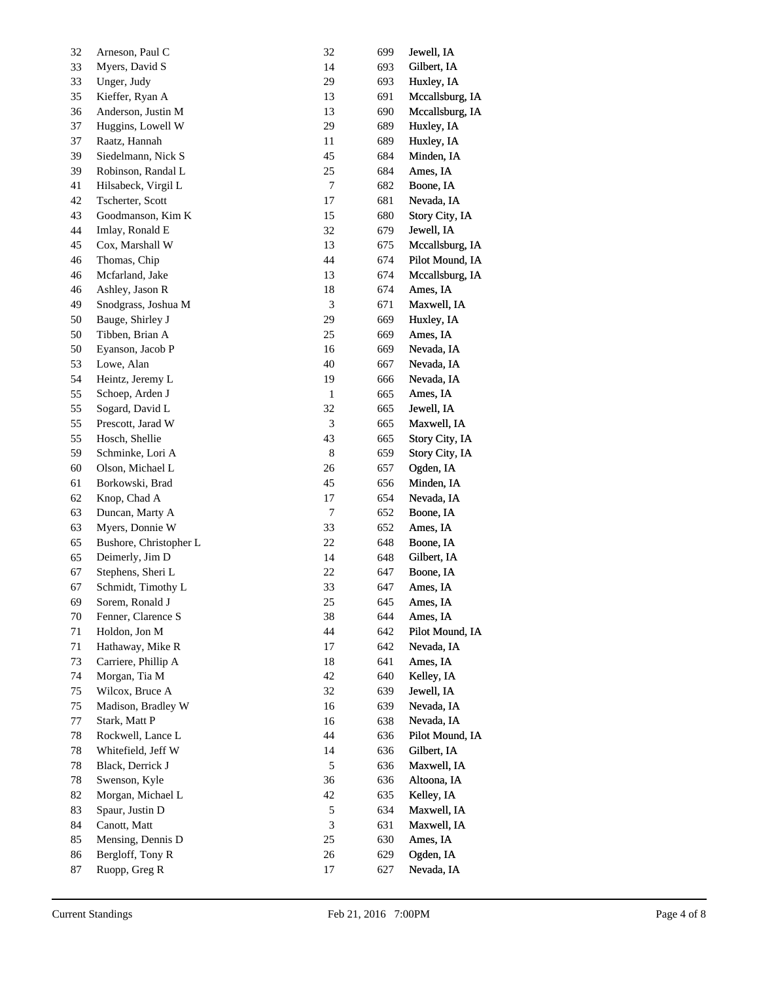| 32 | Arneson, Paul C        | 32               | 699 | Jewell, IA      |
|----|------------------------|------------------|-----|-----------------|
| 33 | Myers, David S         | 14               | 693 | Gilbert, IA     |
| 33 | Unger, Judy            | 29               | 693 | Huxley, IA      |
| 35 | Kieffer, Ryan A        | 13               | 691 | Mccallsburg, IA |
| 36 | Anderson, Justin M     | 13               | 690 | Mccallsburg, IA |
| 37 | Huggins, Lowell W      | 29               | 689 | Huxley, IA      |
| 37 | Raatz, Hannah          | 11               | 689 | Huxley, IA      |
| 39 | Siedelmann, Nick S     | 45               | 684 | Minden, IA      |
| 39 | Robinson, Randal L     | 25               | 684 | Ames, IA        |
| 41 | Hilsabeck, Virgil L    | $\tau$           | 682 | Boone, IA       |
| 42 | Tscherter, Scott       | $17\,$           | 681 | Nevada, IA      |
| 43 | Goodmanson, Kim K      | 15               | 680 | Story City, IA  |
| 44 | Imlay, Ronald E        | 32               | 679 | Jewell, IA      |
| 45 | Cox, Marshall W        | 13               | 675 | Mccallsburg, IA |
| 46 | Thomas, Chip           | 44               | 674 | Pilot Mound, IA |
| 46 | Mcfarland, Jake        | 13               | 674 | Mccallsburg, IA |
| 46 | Ashley, Jason R        | 18               | 674 | Ames, IA        |
| 49 | Snodgrass, Joshua M    | $\mathfrak{Z}$   | 671 | Maxwell, IA     |
| 50 | Bauge, Shirley J       | 29               | 669 | Huxley, IA      |
| 50 | Tibben, Brian A        | 25               | 669 | Ames, IA        |
| 50 | Eyanson, Jacob P       | 16               | 669 | Nevada, IA      |
| 53 | Lowe, Alan             | 40               | 667 | Nevada, IA      |
| 54 | Heintz, Jeremy L       | 19               | 666 | Nevada, IA      |
| 55 | Schoep, Arden J        | $\mathbf{1}$     | 665 | Ames, IA        |
| 55 | Sogard, David L        | 32               | 665 | Jewell, IA      |
| 55 | Prescott, Jarad W      | $\mathfrak{Z}$   | 665 | Maxwell, IA     |
| 55 | Hosch, Shellie         | 43               | 665 | Story City, IA  |
| 59 | Schminke, Lori A       | $\,$ 8 $\,$      | 659 | Story City, IA  |
| 60 | Olson, Michael L       | 26               | 657 | Ogden, IA       |
| 61 | Borkowski, Brad        | 45               | 656 | Minden, IA      |
| 62 | Knop, Chad A           | 17               | 654 | Nevada, IA      |
| 63 | Duncan, Marty A        | $\boldsymbol{7}$ | 652 | Boone, IA       |
| 63 | Myers, Donnie W        | 33               | 652 | Ames, IA        |
| 65 | Bushore, Christopher L | 22               | 648 | Boone, IA       |
| 65 | Deimerly, Jim D        | 14               | 648 | Gilbert, IA     |
| 67 | Stephens, Sheri L      | 22               | 647 | Boone, IA       |
| 67 | Schmidt, Timothy L     | 33               | 647 | Ames, IA        |
| 69 | Sorem, Ronald J        | 25               | 645 | Ames, IA        |
| 70 | Fenner, Clarence S     | 38               | 644 | Ames, IA        |
| 71 | Holdon, Jon M          | 44               | 642 | Pilot Mound, IA |
| 71 | Hathaway, Mike R       | 17               | 642 | Nevada, IA      |
| 73 | Carriere, Phillip A    | 18               | 641 | Ames, IA        |
| 74 | Morgan, Tia M          | 42               | 640 | Kelley, IA      |
| 75 | Wilcox, Bruce A        | 32               | 639 | Jewell, IA      |
| 75 | Madison, Bradley W     | 16               | 639 | Nevada, IA      |
| 77 | Stark, Matt P          | 16               | 638 | Nevada, IA      |
| 78 | Rockwell, Lance L      | 44               | 636 | Pilot Mound, IA |
| 78 | Whitefield, Jeff W     | 14               | 636 | Gilbert, IA     |
| 78 | Black, Derrick J       | $\sqrt{5}$       | 636 | Maxwell, IA     |
| 78 | Swenson, Kyle          | 36               | 636 | Altoona, IA     |
| 82 | Morgan, Michael L      | 42               | 635 | Kelley, IA      |
| 83 | Spaur, Justin D        | $\sqrt{5}$       | 634 | Maxwell, IA     |
| 84 | Canott, Matt           | 3                | 631 | Maxwell, IA     |
| 85 | Mensing, Dennis D      | 25               | 630 | Ames, IA        |
| 86 | Bergloff, Tony R       | 26               | 629 | Ogden, IA       |
|    |                        |                  |     |                 |
| 87 | Ruopp, Greg R          | 17               | 627 | Nevada, IA      |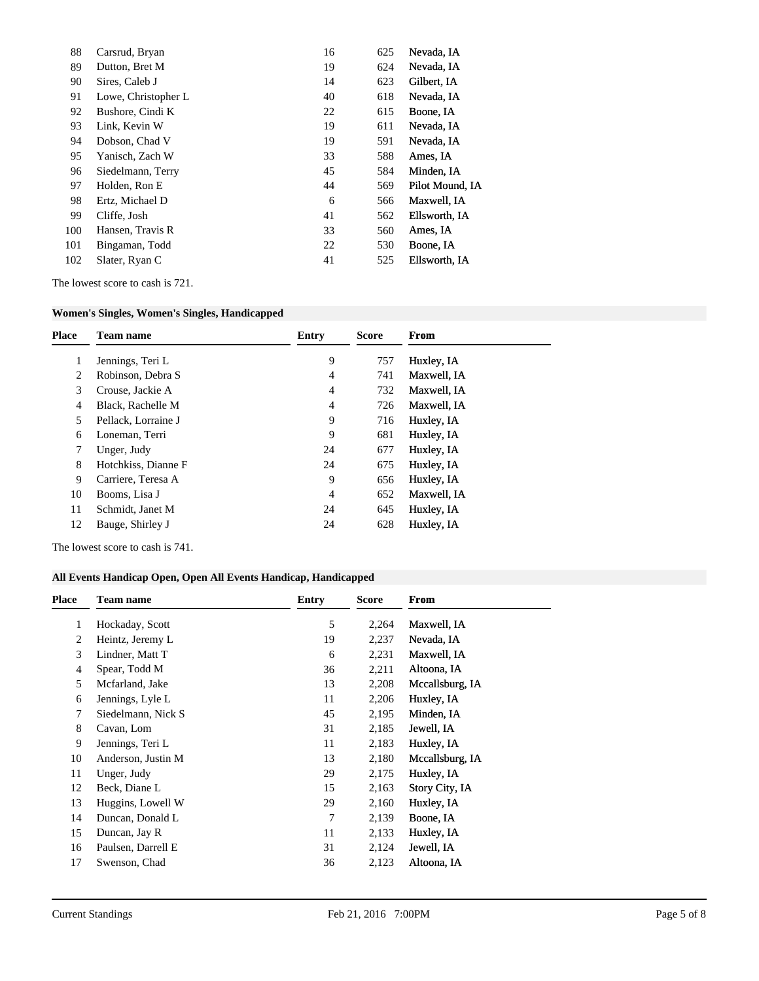| 88  | Carsrud, Bryan      | 16 | 625 | Nevada, IA      |
|-----|---------------------|----|-----|-----------------|
| 89  | Dutton, Bret M      | 19 | 624 | Nevada, IA      |
| 90  | Sires, Caleb J      | 14 | 623 | Gilbert, IA     |
| 91  | Lowe, Christopher L | 40 | 618 | Nevada, IA      |
| 92  | Bushore, Cindi K    | 22 | 615 | Boone, IA       |
| 93  | Link, Kevin W       | 19 | 611 | Nevada, IA      |
| 94  | Dobson, Chad V      | 19 | 591 | Nevada, IA      |
| 95  | Yanisch, Zach W     | 33 | 588 | Ames, IA        |
| 96  | Siedelmann, Terry   | 45 | 584 | Minden, IA      |
| 97  | Holden, Ron E       | 44 | 569 | Pilot Mound, IA |
| 98  | Ertz, Michael D     | 6  | 566 | Maxwell, IA     |
| 99  | Cliffe, Josh        | 41 | 562 | Ellsworth, IA   |
| 100 | Hansen, Travis R    | 33 | 560 | Ames, IA        |
| 101 | Bingaman, Todd      | 22 | 530 | Boone, IA       |
| 102 | Slater, Ryan C      | 41 | 525 | Ellsworth, IA   |
|     |                     |    |     |                 |

The lowest score to cash is 721.

#### **Women's Singles, Women's Singles, Handicapped**

| <b>Place</b> | <b>Team name</b>    | Entry | <b>Score</b> | From        |
|--------------|---------------------|-------|--------------|-------------|
|              | Jennings, Teri L    | 9     | 757          | Huxley, IA  |
| 2            | Robinson, Debra S   | 4     | 741          | Maxwell, IA |
| 3            | Crouse, Jackie A    | 4     | 732          | Maxwell, IA |
| 4            | Black, Rachelle M   | 4     | 726          | Maxwell, IA |
| 5.           | Pellack, Lorraine J | 9     | 716          | Huxley, IA  |
| 6            | Loneman, Terri      | 9     | 681          | Huxley, IA  |
| 7            | Unger, Judy         | 24    | 677          | Huxley, IA  |
| 8            | Hotchkiss, Dianne F | 24    | 675          | Huxley, IA  |
| 9            | Carriere, Teresa A  | 9     | 656          | Huxley, IA  |
| 10           | Booms, Lisa J       | 4     | 652          | Maxwell, IA |
| 11           | Schmidt, Janet M    | 24    | 645          | Huxley, IA  |
| 12           | Bauge, Shirley J    | 24    | 628          | Huxley, IA  |
|              |                     |       |              |             |

The lowest score to cash is 741.

# **All Events Handicap Open, Open All Events Handicap, Handicapped**

| <b>Place</b> | <b>Team name</b>   | <b>Entry</b> | <b>Score</b> | <b>From</b>     |
|--------------|--------------------|--------------|--------------|-----------------|
| 1            | Hockaday, Scott    | 5            | 2,264        | Maxwell, IA     |
| 2            | Heintz, Jeremy L   | 19           | 2,237        | Nevada, IA      |
| 3            | Lindner, Matt T    | 6            | 2,231        | Maxwell, IA     |
| 4            | Spear, Todd M      | 36           | 2,211        | Altoona, IA     |
| 5            | Mcfarland, Jake    | 13           | 2,208        | Mccallsburg, IA |
| 6            | Jennings, Lyle L   | 11           | 2,206        | Huxley, IA      |
| 7            | Siedelmann, Nick S | 45           | 2,195        | Minden, IA      |
| 8            | Cavan, Lom         | 31           | 2,185        | Jewell, IA      |
| 9            | Jennings, Teri L   | 11           | 2,183        | Huxley, IA      |
| 10           | Anderson, Justin M | 13           | 2,180        | Mccallsburg, IA |
| 11           | Unger, Judy        | 29           | 2,175        | Huxley, IA      |
| 12           | Beck, Diane L      | 15           | 2,163        | Story City, IA  |
| 13           | Huggins, Lowell W  | 29           | 2,160        | Huxley, IA      |
| 14           | Duncan, Donald L   | 7            | 2,139        | Boone, IA       |
| 15           | Duncan, Jay R      | 11           | 2,133        | Huxley, IA      |
| 16           | Paulsen, Darrell E | 31           | 2,124        | Jewell, IA      |
| 17           | Swenson, Chad      | 36           | 2,123        | Altoona, IA     |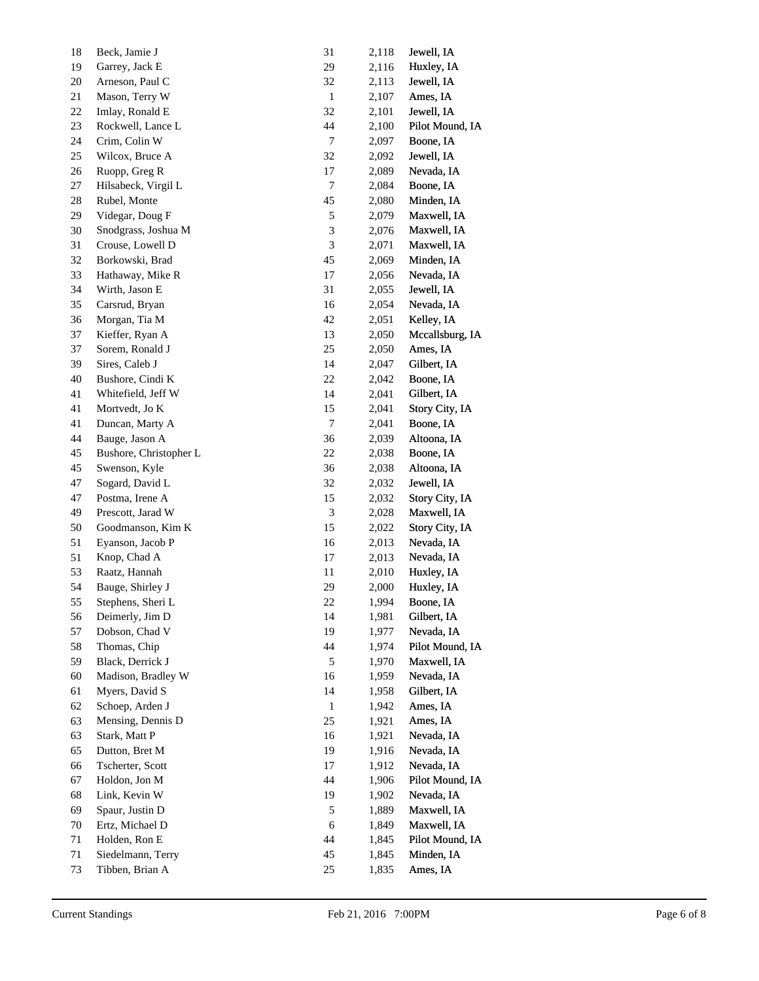| 19 |                        |                |       |                 |
|----|------------------------|----------------|-------|-----------------|
|    | Garrey, Jack E         | 29             | 2,116 | Huxley, IA      |
| 20 | Arneson, Paul C        | 32             | 2,113 | Jewell, IA      |
| 21 | Mason, Terry W         | $\mathbf{1}$   | 2,107 | Ames, IA        |
| 22 | Imlay, Ronald E        | 32             | 2,101 | Jewell, IA      |
| 23 | Rockwell, Lance L      | 44             | 2,100 | Pilot Mound, IA |
| 24 | Crim, Colin W          | 7              | 2,097 | Boone, IA       |
| 25 | Wilcox, Bruce A        | 32             | 2,092 | Jewell, IA      |
| 26 | Ruopp, Greg R          | 17             | 2,089 | Nevada, IA      |
| 27 | Hilsabeck, Virgil L    | 7              | 2,084 | Boone, IA       |
| 28 | Rubel, Monte           | 45             | 2,080 | Minden, IA      |
| 29 | Videgar, Doug F        | 5              | 2,079 | Maxwell, IA     |
| 30 | Snodgrass, Joshua M    | $\mathfrak{Z}$ | 2,076 | Maxwell, IA     |
| 31 | Crouse, Lowell D       | 3              | 2,071 | Maxwell, IA     |
| 32 | Borkowski, Brad        | 45             | 2,069 | Minden, IA      |
| 33 | Hathaway, Mike R       | 17             | 2,056 | Nevada, IA      |
| 34 | Wirth, Jason E         | 31             | 2,055 | Jewell, IA      |
| 35 | Carsrud, Bryan         | 16             | 2,054 | Nevada, IA      |
| 36 | Morgan, Tia M          | 42             | 2,051 | Kelley, IA      |
| 37 | Kieffer, Ryan A        | 13             | 2,050 | Mccallsburg, IA |
| 37 | Sorem, Ronald J        | 25             | 2,050 | Ames, IA        |
| 39 | Sires, Caleb J         | 14             | 2,047 | Gilbert, IA     |
| 40 | Bushore, Cindi K       | 22             | 2,042 | Boone, IA       |
| 41 | Whitefield, Jeff W     | 14             | 2,041 | Gilbert, IA     |
| 41 | Mortvedt, Jo K         | 15             | 2,041 | Story City, IA  |
| 41 | Duncan, Marty A        | 7              | 2,041 | Boone, IA       |
| 44 | Bauge, Jason A         | 36             | 2,039 | Altoona, IA     |
| 45 | Bushore, Christopher L | $22\,$         | 2,038 | Boone, IA       |
| 45 | Swenson, Kyle          | 36             | 2,038 | Altoona, IA     |
| 47 | Sogard, David L        | 32             | 2,032 | Jewell, IA      |
| 47 | Postma, Irene A        | 15             | 2,032 | Story City, IA  |
| 49 | Prescott, Jarad W      | 3              | 2,028 | Maxwell, IA     |
| 50 | Goodmanson, Kim K      | 15             | 2,022 | Story City, IA  |
| 51 | Eyanson, Jacob P       | 16             | 2,013 | Nevada, IA      |
| 51 | Knop, Chad A           | 17             | 2,013 | Nevada, IA      |
| 53 | Raatz, Hannah          | 11             | 2,010 | Huxley, IA      |
| 54 | Bauge, Shirley J       | 29             | 2,000 | Huxley, IA      |
| 55 | Stephens, Sheri L      | 22             | 1,994 | Boone, IA       |
| 56 | Deimerly, Jim D        | 14             | 1,981 | Gilbert, IA     |
| 57 | Dobson, Chad V         | 19             | 1,977 | Nevada, IA      |
| 58 | Thomas, Chip           | 44             | 1,974 | Pilot Mound, IA |
| 59 | Black, Derrick J       | 5              | 1,970 | Maxwell, IA     |
| 60 | Madison, Bradley W     | 16             | 1,959 | Nevada, IA      |
| 61 | Myers, David S         | 14             | 1,958 | Gilbert, IA     |
| 62 | Schoep, Arden J        | 1              | 1,942 | Ames, IA        |
| 63 | Mensing, Dennis D      | 25             | 1,921 | Ames, IA        |
| 63 | Stark, Matt P          | 16             | 1,921 | Nevada, IA      |
| 65 | Dutton, Bret M         | 19             | 1,916 | Nevada, IA      |
| 66 | Tscherter, Scott       | 17             | 1,912 | Nevada, IA      |
| 67 | Holdon, Jon M          | 44             | 1,906 | Pilot Mound, IA |
| 68 | Link, Kevin W          | 19             | 1,902 | Nevada, IA      |
| 69 | Spaur, Justin D        | 5              | 1,889 | Maxwell, IA     |
| 70 | Ertz, Michael D        | 6              | 1,849 | Maxwell, IA     |
| 71 | Holden, Ron E          | 44             | 1,845 | Pilot Mound, IA |
| 71 | Siedelmann, Terry      | 45             | 1,845 | Minden, IA      |
| 73 | Tibben, Brian A        | 25             | 1,835 | Ames, IA        |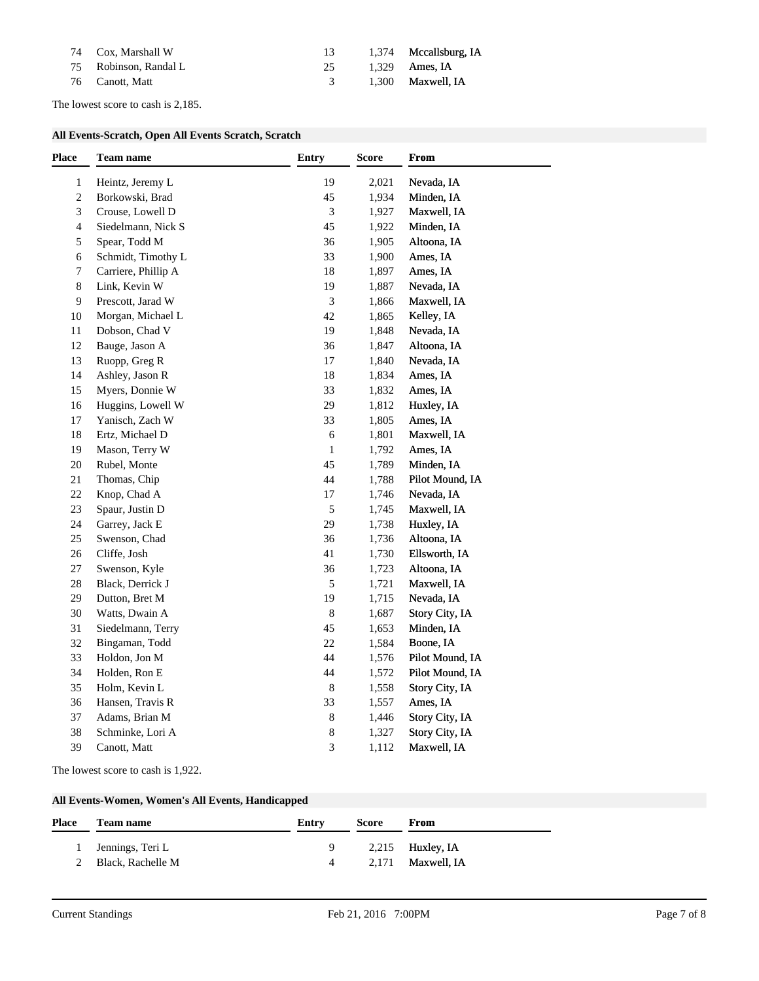| 74 Cox, Marshall W    | -13 - | 1,374 Mccallsburg, IA |
|-----------------------|-------|-----------------------|
| 75 Robinson, Randal L |       | 25 1.329 Ames, IA     |
| 76 Canott, Matt       |       | 3 1,300 Maxwell, IA   |

The lowest score to cash is 2,185.

#### **All Events-Scratch, Open All Events Scratch, Scratch**

| Heintz, Jeremy L<br>19<br>Nevada, IA<br>$\mathbf{1}$<br>2,021<br>$\sqrt{2}$<br>Borkowski, Brad<br>45<br>1,934<br>Minden, IA<br>Crouse, Lowell D<br>Maxwell, IA<br>3<br>3<br>1,927<br>$\overline{4}$<br>Siedelmann, Nick S<br>45<br>Minden, IA<br>1,922<br>5<br>Spear, Todd M<br>Altoona, IA<br>36<br>1,905<br>Schmidt, Timothy L<br>33<br>Ames, IA<br>6<br>1,900<br>7<br>Carriere, Phillip A<br>$18\,$<br>Ames, IA<br>1,897<br>$\,8\,$<br>Link, Kevin W<br>19<br>Nevada, IA<br>1,887<br>$\overline{9}$<br>Prescott, Jarad W<br>$\mathfrak{Z}$<br>Maxwell, IA<br>1,866<br>10<br>Morgan, Michael L<br>42<br>1,865<br>Kelley, IA<br>Dobson, Chad V<br>19<br>Nevada, IA<br>11<br>1,848<br>Bauge, Jason A<br>Altoona, IA<br>12<br>36<br>1,847<br>Ruopp, Greg R<br>$17\,$<br>Nevada, IA<br>13<br>1,840<br>Ashley, Jason R<br>14<br>$18\,$<br>1,834<br>Ames, IA<br>Myers, Donnie W<br>33<br>Ames, IA<br>1,832<br>15<br>Huggins, Lowell W<br>29<br>Huxley, IA<br>16<br>1,812<br>Yanisch, Zach W<br>Ames, IA<br>17<br>33<br>1,805<br>Ertz, Michael D<br>Maxwell, IA<br>18<br>$\sqrt{6}$<br>1,801<br>Mason, Terry W<br>19<br>Ames, IA<br>$\mathbf{1}$<br>1,792<br>Rubel, Monte<br>45<br>1,789<br>Minden, IA<br>20<br>44<br>Pilot Mound, IA<br>21<br>Thomas, Chip<br>1,788<br>Knop, Chad A<br>Nevada, IA<br>22<br>$17\,$<br>1,746<br>Spaur, Justin D<br>5<br>Maxwell, IA<br>23<br>1,745<br>Garrey, Jack E<br>29<br>Huxley, IA<br>24<br>1,738<br>25<br>Swenson, Chad<br>36<br>1,736<br>Altoona, IA<br>Ellsworth, IA<br>$26\,$<br>Cliffe, Josh<br>41<br>1,730<br>Swenson, Kyle<br>Altoona, IA<br>$27\,$<br>36<br>1,723<br>Maxwell, IA<br>28<br>Black, Derrick J<br>5<br>1,721<br>Dutton, Bret M<br>19<br>Nevada, IA<br>29<br>1,715<br>$30\,$<br>Watts, Dwain A<br>$\,8\,$<br>Story City, IA<br>1,687<br>Minden, IA<br>31<br>Siedelmann, Terry<br>45<br>1,653<br>Bingaman, Todd<br>32<br>$22\,$<br>1,584<br>Boone, IA<br>Holdon, Jon M<br>Pilot Mound, IA<br>33<br>44<br>1,576<br>Holden, Ron E<br>44<br>Pilot Mound, IA<br>34<br>1,572<br>Holm, Kevin L<br>Story City, IA<br>35<br>8<br>1,558<br>36<br>Hansen, Travis R<br>33<br>Ames, IA<br>1,557<br>Adams, Brian M<br>37<br>$\,8\,$<br>Story City, IA<br>1,446<br>38<br>Schminke, Lori A<br>8<br>Story City, IA<br>1,327<br>3<br>39<br>Canott, Matt<br>Maxwell, IA<br>1,112 | <b>Place</b> | Team name | <b>Entry</b> | Score | From |
|------------------------------------------------------------------------------------------------------------------------------------------------------------------------------------------------------------------------------------------------------------------------------------------------------------------------------------------------------------------------------------------------------------------------------------------------------------------------------------------------------------------------------------------------------------------------------------------------------------------------------------------------------------------------------------------------------------------------------------------------------------------------------------------------------------------------------------------------------------------------------------------------------------------------------------------------------------------------------------------------------------------------------------------------------------------------------------------------------------------------------------------------------------------------------------------------------------------------------------------------------------------------------------------------------------------------------------------------------------------------------------------------------------------------------------------------------------------------------------------------------------------------------------------------------------------------------------------------------------------------------------------------------------------------------------------------------------------------------------------------------------------------------------------------------------------------------------------------------------------------------------------------------------------------------------------------------------------------------------------------------------------------------------------------------------------------------------------------------------------------------------------------------------------------------------------------------------------------------------------------------------------------------------------------------------------|--------------|-----------|--------------|-------|------|
|                                                                                                                                                                                                                                                                                                                                                                                                                                                                                                                                                                                                                                                                                                                                                                                                                                                                                                                                                                                                                                                                                                                                                                                                                                                                                                                                                                                                                                                                                                                                                                                                                                                                                                                                                                                                                                                                                                                                                                                                                                                                                                                                                                                                                                                                                                                  |              |           |              |       |      |
|                                                                                                                                                                                                                                                                                                                                                                                                                                                                                                                                                                                                                                                                                                                                                                                                                                                                                                                                                                                                                                                                                                                                                                                                                                                                                                                                                                                                                                                                                                                                                                                                                                                                                                                                                                                                                                                                                                                                                                                                                                                                                                                                                                                                                                                                                                                  |              |           |              |       |      |
|                                                                                                                                                                                                                                                                                                                                                                                                                                                                                                                                                                                                                                                                                                                                                                                                                                                                                                                                                                                                                                                                                                                                                                                                                                                                                                                                                                                                                                                                                                                                                                                                                                                                                                                                                                                                                                                                                                                                                                                                                                                                                                                                                                                                                                                                                                                  |              |           |              |       |      |
|                                                                                                                                                                                                                                                                                                                                                                                                                                                                                                                                                                                                                                                                                                                                                                                                                                                                                                                                                                                                                                                                                                                                                                                                                                                                                                                                                                                                                                                                                                                                                                                                                                                                                                                                                                                                                                                                                                                                                                                                                                                                                                                                                                                                                                                                                                                  |              |           |              |       |      |
|                                                                                                                                                                                                                                                                                                                                                                                                                                                                                                                                                                                                                                                                                                                                                                                                                                                                                                                                                                                                                                                                                                                                                                                                                                                                                                                                                                                                                                                                                                                                                                                                                                                                                                                                                                                                                                                                                                                                                                                                                                                                                                                                                                                                                                                                                                                  |              |           |              |       |      |
|                                                                                                                                                                                                                                                                                                                                                                                                                                                                                                                                                                                                                                                                                                                                                                                                                                                                                                                                                                                                                                                                                                                                                                                                                                                                                                                                                                                                                                                                                                                                                                                                                                                                                                                                                                                                                                                                                                                                                                                                                                                                                                                                                                                                                                                                                                                  |              |           |              |       |      |
|                                                                                                                                                                                                                                                                                                                                                                                                                                                                                                                                                                                                                                                                                                                                                                                                                                                                                                                                                                                                                                                                                                                                                                                                                                                                                                                                                                                                                                                                                                                                                                                                                                                                                                                                                                                                                                                                                                                                                                                                                                                                                                                                                                                                                                                                                                                  |              |           |              |       |      |
|                                                                                                                                                                                                                                                                                                                                                                                                                                                                                                                                                                                                                                                                                                                                                                                                                                                                                                                                                                                                                                                                                                                                                                                                                                                                                                                                                                                                                                                                                                                                                                                                                                                                                                                                                                                                                                                                                                                                                                                                                                                                                                                                                                                                                                                                                                                  |              |           |              |       |      |
|                                                                                                                                                                                                                                                                                                                                                                                                                                                                                                                                                                                                                                                                                                                                                                                                                                                                                                                                                                                                                                                                                                                                                                                                                                                                                                                                                                                                                                                                                                                                                                                                                                                                                                                                                                                                                                                                                                                                                                                                                                                                                                                                                                                                                                                                                                                  |              |           |              |       |      |
|                                                                                                                                                                                                                                                                                                                                                                                                                                                                                                                                                                                                                                                                                                                                                                                                                                                                                                                                                                                                                                                                                                                                                                                                                                                                                                                                                                                                                                                                                                                                                                                                                                                                                                                                                                                                                                                                                                                                                                                                                                                                                                                                                                                                                                                                                                                  |              |           |              |       |      |
|                                                                                                                                                                                                                                                                                                                                                                                                                                                                                                                                                                                                                                                                                                                                                                                                                                                                                                                                                                                                                                                                                                                                                                                                                                                                                                                                                                                                                                                                                                                                                                                                                                                                                                                                                                                                                                                                                                                                                                                                                                                                                                                                                                                                                                                                                                                  |              |           |              |       |      |
|                                                                                                                                                                                                                                                                                                                                                                                                                                                                                                                                                                                                                                                                                                                                                                                                                                                                                                                                                                                                                                                                                                                                                                                                                                                                                                                                                                                                                                                                                                                                                                                                                                                                                                                                                                                                                                                                                                                                                                                                                                                                                                                                                                                                                                                                                                                  |              |           |              |       |      |
|                                                                                                                                                                                                                                                                                                                                                                                                                                                                                                                                                                                                                                                                                                                                                                                                                                                                                                                                                                                                                                                                                                                                                                                                                                                                                                                                                                                                                                                                                                                                                                                                                                                                                                                                                                                                                                                                                                                                                                                                                                                                                                                                                                                                                                                                                                                  |              |           |              |       |      |
|                                                                                                                                                                                                                                                                                                                                                                                                                                                                                                                                                                                                                                                                                                                                                                                                                                                                                                                                                                                                                                                                                                                                                                                                                                                                                                                                                                                                                                                                                                                                                                                                                                                                                                                                                                                                                                                                                                                                                                                                                                                                                                                                                                                                                                                                                                                  |              |           |              |       |      |
|                                                                                                                                                                                                                                                                                                                                                                                                                                                                                                                                                                                                                                                                                                                                                                                                                                                                                                                                                                                                                                                                                                                                                                                                                                                                                                                                                                                                                                                                                                                                                                                                                                                                                                                                                                                                                                                                                                                                                                                                                                                                                                                                                                                                                                                                                                                  |              |           |              |       |      |
|                                                                                                                                                                                                                                                                                                                                                                                                                                                                                                                                                                                                                                                                                                                                                                                                                                                                                                                                                                                                                                                                                                                                                                                                                                                                                                                                                                                                                                                                                                                                                                                                                                                                                                                                                                                                                                                                                                                                                                                                                                                                                                                                                                                                                                                                                                                  |              |           |              |       |      |
|                                                                                                                                                                                                                                                                                                                                                                                                                                                                                                                                                                                                                                                                                                                                                                                                                                                                                                                                                                                                                                                                                                                                                                                                                                                                                                                                                                                                                                                                                                                                                                                                                                                                                                                                                                                                                                                                                                                                                                                                                                                                                                                                                                                                                                                                                                                  |              |           |              |       |      |
|                                                                                                                                                                                                                                                                                                                                                                                                                                                                                                                                                                                                                                                                                                                                                                                                                                                                                                                                                                                                                                                                                                                                                                                                                                                                                                                                                                                                                                                                                                                                                                                                                                                                                                                                                                                                                                                                                                                                                                                                                                                                                                                                                                                                                                                                                                                  |              |           |              |       |      |
|                                                                                                                                                                                                                                                                                                                                                                                                                                                                                                                                                                                                                                                                                                                                                                                                                                                                                                                                                                                                                                                                                                                                                                                                                                                                                                                                                                                                                                                                                                                                                                                                                                                                                                                                                                                                                                                                                                                                                                                                                                                                                                                                                                                                                                                                                                                  |              |           |              |       |      |
|                                                                                                                                                                                                                                                                                                                                                                                                                                                                                                                                                                                                                                                                                                                                                                                                                                                                                                                                                                                                                                                                                                                                                                                                                                                                                                                                                                                                                                                                                                                                                                                                                                                                                                                                                                                                                                                                                                                                                                                                                                                                                                                                                                                                                                                                                                                  |              |           |              |       |      |
|                                                                                                                                                                                                                                                                                                                                                                                                                                                                                                                                                                                                                                                                                                                                                                                                                                                                                                                                                                                                                                                                                                                                                                                                                                                                                                                                                                                                                                                                                                                                                                                                                                                                                                                                                                                                                                                                                                                                                                                                                                                                                                                                                                                                                                                                                                                  |              |           |              |       |      |
|                                                                                                                                                                                                                                                                                                                                                                                                                                                                                                                                                                                                                                                                                                                                                                                                                                                                                                                                                                                                                                                                                                                                                                                                                                                                                                                                                                                                                                                                                                                                                                                                                                                                                                                                                                                                                                                                                                                                                                                                                                                                                                                                                                                                                                                                                                                  |              |           |              |       |      |
|                                                                                                                                                                                                                                                                                                                                                                                                                                                                                                                                                                                                                                                                                                                                                                                                                                                                                                                                                                                                                                                                                                                                                                                                                                                                                                                                                                                                                                                                                                                                                                                                                                                                                                                                                                                                                                                                                                                                                                                                                                                                                                                                                                                                                                                                                                                  |              |           |              |       |      |
|                                                                                                                                                                                                                                                                                                                                                                                                                                                                                                                                                                                                                                                                                                                                                                                                                                                                                                                                                                                                                                                                                                                                                                                                                                                                                                                                                                                                                                                                                                                                                                                                                                                                                                                                                                                                                                                                                                                                                                                                                                                                                                                                                                                                                                                                                                                  |              |           |              |       |      |
|                                                                                                                                                                                                                                                                                                                                                                                                                                                                                                                                                                                                                                                                                                                                                                                                                                                                                                                                                                                                                                                                                                                                                                                                                                                                                                                                                                                                                                                                                                                                                                                                                                                                                                                                                                                                                                                                                                                                                                                                                                                                                                                                                                                                                                                                                                                  |              |           |              |       |      |
|                                                                                                                                                                                                                                                                                                                                                                                                                                                                                                                                                                                                                                                                                                                                                                                                                                                                                                                                                                                                                                                                                                                                                                                                                                                                                                                                                                                                                                                                                                                                                                                                                                                                                                                                                                                                                                                                                                                                                                                                                                                                                                                                                                                                                                                                                                                  |              |           |              |       |      |
|                                                                                                                                                                                                                                                                                                                                                                                                                                                                                                                                                                                                                                                                                                                                                                                                                                                                                                                                                                                                                                                                                                                                                                                                                                                                                                                                                                                                                                                                                                                                                                                                                                                                                                                                                                                                                                                                                                                                                                                                                                                                                                                                                                                                                                                                                                                  |              |           |              |       |      |
|                                                                                                                                                                                                                                                                                                                                                                                                                                                                                                                                                                                                                                                                                                                                                                                                                                                                                                                                                                                                                                                                                                                                                                                                                                                                                                                                                                                                                                                                                                                                                                                                                                                                                                                                                                                                                                                                                                                                                                                                                                                                                                                                                                                                                                                                                                                  |              |           |              |       |      |
|                                                                                                                                                                                                                                                                                                                                                                                                                                                                                                                                                                                                                                                                                                                                                                                                                                                                                                                                                                                                                                                                                                                                                                                                                                                                                                                                                                                                                                                                                                                                                                                                                                                                                                                                                                                                                                                                                                                                                                                                                                                                                                                                                                                                                                                                                                                  |              |           |              |       |      |
|                                                                                                                                                                                                                                                                                                                                                                                                                                                                                                                                                                                                                                                                                                                                                                                                                                                                                                                                                                                                                                                                                                                                                                                                                                                                                                                                                                                                                                                                                                                                                                                                                                                                                                                                                                                                                                                                                                                                                                                                                                                                                                                                                                                                                                                                                                                  |              |           |              |       |      |
|                                                                                                                                                                                                                                                                                                                                                                                                                                                                                                                                                                                                                                                                                                                                                                                                                                                                                                                                                                                                                                                                                                                                                                                                                                                                                                                                                                                                                                                                                                                                                                                                                                                                                                                                                                                                                                                                                                                                                                                                                                                                                                                                                                                                                                                                                                                  |              |           |              |       |      |
|                                                                                                                                                                                                                                                                                                                                                                                                                                                                                                                                                                                                                                                                                                                                                                                                                                                                                                                                                                                                                                                                                                                                                                                                                                                                                                                                                                                                                                                                                                                                                                                                                                                                                                                                                                                                                                                                                                                                                                                                                                                                                                                                                                                                                                                                                                                  |              |           |              |       |      |
|                                                                                                                                                                                                                                                                                                                                                                                                                                                                                                                                                                                                                                                                                                                                                                                                                                                                                                                                                                                                                                                                                                                                                                                                                                                                                                                                                                                                                                                                                                                                                                                                                                                                                                                                                                                                                                                                                                                                                                                                                                                                                                                                                                                                                                                                                                                  |              |           |              |       |      |
|                                                                                                                                                                                                                                                                                                                                                                                                                                                                                                                                                                                                                                                                                                                                                                                                                                                                                                                                                                                                                                                                                                                                                                                                                                                                                                                                                                                                                                                                                                                                                                                                                                                                                                                                                                                                                                                                                                                                                                                                                                                                                                                                                                                                                                                                                                                  |              |           |              |       |      |
|                                                                                                                                                                                                                                                                                                                                                                                                                                                                                                                                                                                                                                                                                                                                                                                                                                                                                                                                                                                                                                                                                                                                                                                                                                                                                                                                                                                                                                                                                                                                                                                                                                                                                                                                                                                                                                                                                                                                                                                                                                                                                                                                                                                                                                                                                                                  |              |           |              |       |      |
|                                                                                                                                                                                                                                                                                                                                                                                                                                                                                                                                                                                                                                                                                                                                                                                                                                                                                                                                                                                                                                                                                                                                                                                                                                                                                                                                                                                                                                                                                                                                                                                                                                                                                                                                                                                                                                                                                                                                                                                                                                                                                                                                                                                                                                                                                                                  |              |           |              |       |      |
|                                                                                                                                                                                                                                                                                                                                                                                                                                                                                                                                                                                                                                                                                                                                                                                                                                                                                                                                                                                                                                                                                                                                                                                                                                                                                                                                                                                                                                                                                                                                                                                                                                                                                                                                                                                                                                                                                                                                                                                                                                                                                                                                                                                                                                                                                                                  |              |           |              |       |      |
|                                                                                                                                                                                                                                                                                                                                                                                                                                                                                                                                                                                                                                                                                                                                                                                                                                                                                                                                                                                                                                                                                                                                                                                                                                                                                                                                                                                                                                                                                                                                                                                                                                                                                                                                                                                                                                                                                                                                                                                                                                                                                                                                                                                                                                                                                                                  |              |           |              |       |      |
|                                                                                                                                                                                                                                                                                                                                                                                                                                                                                                                                                                                                                                                                                                                                                                                                                                                                                                                                                                                                                                                                                                                                                                                                                                                                                                                                                                                                                                                                                                                                                                                                                                                                                                                                                                                                                                                                                                                                                                                                                                                                                                                                                                                                                                                                                                                  |              |           |              |       |      |

The lowest score to cash is 1,922.

# **All Events-Women, Women's All Events, Handicapped**

| <b>Place</b> | <b>Team name</b>    | Entry | Score | From                |
|--------------|---------------------|-------|-------|---------------------|
|              | 1 Jennings, Teri L  |       |       | $2,215$ Huxley, IA  |
|              | 2 Black, Rachelle M | 4     |       | $2,171$ Maxwell, IA |